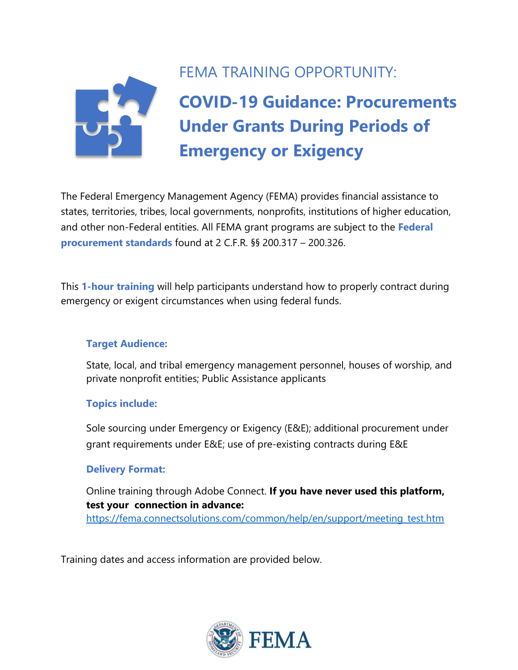

## FEMA TRAINING OPPORTUNITY:

# **COVID-19 Guidance: Procurements Under Grants During Periods of Emergency or Exigency**

The Federal Emergency Management Agency (FEMA) provides financial assistance to states, territories, tribes, local governments, nonprofits, institutions of higher education, and other non-Federal entities. All FEMA grant programs are subject to the **Federal procurement standards** found at 2 C.F.R. §§ 200.317 – 200.326.

This **1-hour training** will help participants understand how to properly contract during emergency or exigent circumstances when using federal funds.

#### **Target Audience:**

State, local, and tribal emergency management personnel, houses of worship, and private nonprofit entities; Public Assistance applicants

#### **Topics include:**

Sole sourcing under Emergency or Exigency (E&E); additional procurement under grant requirements under E&E; use of pre-existing contracts during E&E

#### **Delivery Format:**

Online training through Adobe Connect. **If you have never used this platform, test your connection in advance:** [https://fema.connectsolutions.com/common/help/en/support/meeting\\_test.htm](https://fema.connectsolutions.com/common/help/en/support/meeting_test.htm)

Training dates and access information are provided below.